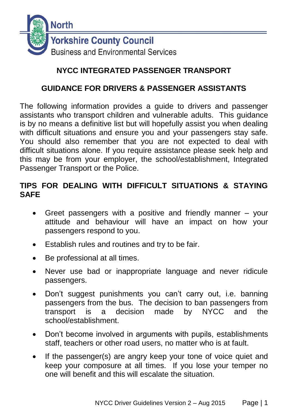

# **NYCC INTEGRATED PASSENGER TRANSPORT**

## **GUIDANCE FOR DRIVERS & PASSENGER ASSISTANTS**

The following information provides a guide to drivers and passenger assistants who transport children and vulnerable adults. This guidance is by no means a definitive list but will hopefully assist you when dealing with difficult situations and ensure you and your passengers stay safe. You should also remember that you are not expected to deal with difficult situations alone. If you require assistance please seek help and this may be from your employer, the school/establishment, Integrated Passenger Transport or the Police.

## **TIPS FOR DEALING WITH DIFFICULT SITUATIONS & STAYING SAFE**

- Greet passengers with a positive and friendly manner your attitude and behaviour will have an impact on how your passengers respond to you.
- **Establish rules and routines and try to be fair.**
- Be professional at all times.
- Never use bad or inappropriate language and never ridicule passengers.
- Don't suggest punishments you can't carry out, i.e. banning passengers from the bus. The decision to ban passengers from transport is a decision made by NYCC and the school/establishment.
- Don't become involved in arguments with pupils, establishments staff, teachers or other road users, no matter who is at fault.
- If the passenger(s) are angry keep your tone of voice quiet and keep your composure at all times. If you lose your temper no one will benefit and this will escalate the situation.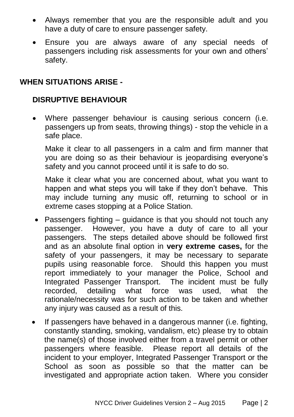- Always remember that you are the responsible adult and you have a duty of care to ensure passenger safety.
- Ensure you are always aware of any special needs of passengers including risk assessments for your own and others' safety.

#### **WHEN SITUATIONS ARISE -**

### **DISRUPTIVE BEHAVIOUR**

 Where passenger behaviour is causing serious concern (i.e. passengers up from seats, throwing things) - stop the vehicle in a safe place.

Make it clear to all passengers in a calm and firm manner that you are doing so as their behaviour is jeopardising everyone's safety and you cannot proceed until it is safe to do so.

Make it clear what you are concerned about, what you want to happen and what steps you will take if they don't behave. This may include turning any music off, returning to school or in extreme cases stopping at a Police Station.

- Passengers fighting guidance is that you should not touch any passenger. However, you have a duty of care to all your passengers. The steps detailed above should be followed first and as an absolute final option in **very extreme cases,** for the safety of your passengers, it may be necessary to separate pupils using reasonable force. Should this happen you must report immediately to your manager the Police, School and Integrated Passenger Transport. The incident must be fully recorded, detailing what force was used, what the rationale/necessity was for such action to be taken and whether any injury was caused as a result of this.
- If passengers have behaved in a dangerous manner (i.e. fighting, constantly standing, smoking, vandalism, etc) please try to obtain the name(s) of those involved either from a travel permit or other passengers where feasible. Please report all details of the incident to your employer, Integrated Passenger Transport or the School as soon as possible so that the matter can be investigated and appropriate action taken. Where you consider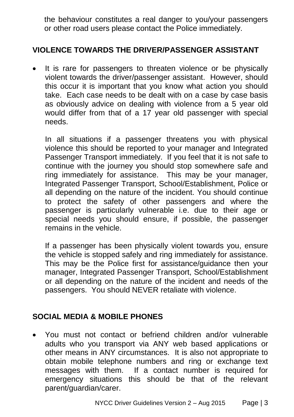the behaviour constitutes a real danger to you/your passengers or other road users please contact the Police immediately.

### **VIOLENCE TOWARDS THE DRIVER/PASSENGER ASSISTANT**

 It is rare for passengers to threaten violence or be physically violent towards the driver/passenger assistant. However, should this occur it is important that you know what action you should take. Each case needs to be dealt with on a case by case basis as obviously advice on dealing with violence from a 5 year old would differ from that of a 17 year old passenger with special needs.

In all situations if a passenger threatens you with physical violence this should be reported to your manager and Integrated Passenger Transport immediately. If you feel that it is not safe to continue with the journey you should stop somewhere safe and ring immediately for assistance. This may be your manager, Integrated Passenger Transport, School/Establishment, Police or all depending on the nature of the incident. You should continue to protect the safety of other passengers and where the passenger is particularly vulnerable i.e. due to their age or special needs you should ensure, if possible, the passenger remains in the vehicle.

If a passenger has been physically violent towards you, ensure the vehicle is stopped safely and ring immediately for assistance. This may be the Police first for assistance/guidance then your manager, Integrated Passenger Transport, School/Establishment or all depending on the nature of the incident and needs of the passengers. You should NEVER retaliate with violence.

#### **SOCIAL MEDIA & MOBILE PHONES**

 You must not contact or befriend children and/or vulnerable adults who you transport via ANY web based applications or other means in ANY circumstances. It is also not appropriate to obtain mobile telephone numbers and ring or exchange text messages with them. If a contact number is required for emergency situations this should be that of the relevant parent/guardian/carer.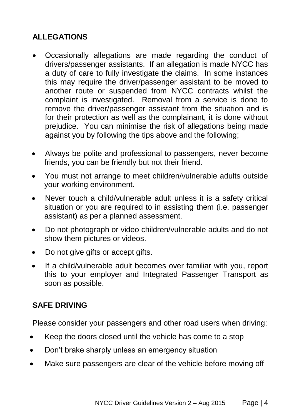# **ALLEGATIONS**

- Occasionally allegations are made regarding the conduct of drivers/passenger assistants. If an allegation is made NYCC has a duty of care to fully investigate the claims. In some instances this may require the driver/passenger assistant to be moved to another route or suspended from NYCC contracts whilst the complaint is investigated. Removal from a service is done to remove the driver/passenger assistant from the situation and is for their protection as well as the complainant, it is done without prejudice. You can minimise the risk of allegations being made against you by following the tips above and the following;
- Always be polite and professional to passengers, never become friends, you can be friendly but not their friend.
- You must not arrange to meet children/vulnerable adults outside your working environment.
- Never touch a child/vulnerable adult unless it is a safety critical situation or you are required to in assisting them (i.e. passenger assistant) as per a planned assessment.
- Do not photograph or video children/vulnerable adults and do not show them pictures or videos.
- Do not give gifts or accept gifts.
- If a child/vulnerable adult becomes over familiar with you, report this to your employer and Integrated Passenger Transport as soon as possible.

### **SAFE DRIVING**

Please consider your passengers and other road users when driving;

- Keep the doors closed until the vehicle has come to a stop
- Don't brake sharply unless an emergency situation
- Make sure passengers are clear of the vehicle before moving off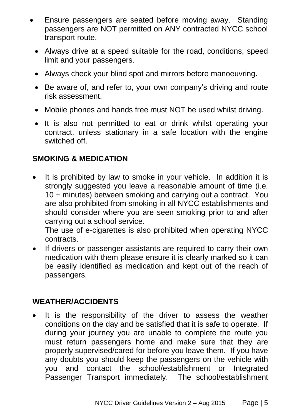- Ensure passengers are seated before moving away. Standing passengers are NOT permitted on ANY contracted NYCC school transport route.
	- Always drive at a speed suitable for the road, conditions, speed limit and your passengers.
	- Always check your blind spot and mirrors before manoeuvring.
	- Be aware of, and refer to, your own company's driving and route risk assessment.
	- Mobile phones and hands free must NOT be used whilst driving.
	- It is also not permitted to eat or drink whilst operating your contract, unless stationary in a safe location with the engine switched off.

## **SMOKING & MEDICATION**

• It is prohibited by law to smoke in your vehicle. In addition it is strongly suggested you leave a reasonable amount of time (i.e. 10 + minutes) between smoking and carrying out a contract. You are also prohibited from smoking in all NYCC establishments and should consider where you are seen smoking prior to and after carrying out a school service.

The use of e-cigarettes is also prohibited when operating NYCC contracts.

 If drivers or passenger assistants are required to carry their own medication with them please ensure it is clearly marked so it can be easily identified as medication and kept out of the reach of passengers.

### **WEATHER/ACCIDENTS**

• It is the responsibility of the driver to assess the weather conditions on the day and be satisfied that it is safe to operate. If during your journey you are unable to complete the route you must return passengers home and make sure that they are properly supervised/cared for before you leave them. If you have any doubts you should keep the passengers on the vehicle with you and contact the school/establishment or Integrated Passenger Transport immediately. The school/establishment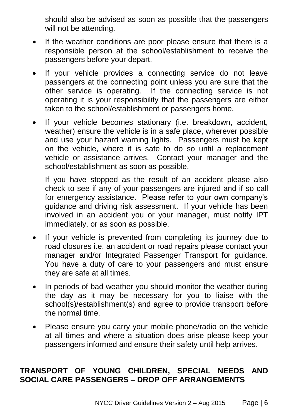should also be advised as soon as possible that the passengers will not be attending.

- If the weather conditions are poor please ensure that there is a responsible person at the school/establishment to receive the passengers before your depart.
- If your vehicle provides a connecting service do not leave passengers at the connecting point unless you are sure that the other service is operating. If the connecting service is not operating it is your responsibility that the passengers are either taken to the school/establishment or passengers home.
- If your vehicle becomes stationary (i.e. breakdown, accident, weather) ensure the vehicle is in a safe place, wherever possible and use your hazard warning lights. Passengers must be kept on the vehicle, where it is safe to do so until a replacement vehicle or assistance arrives. Contact your manager and the school/establishment as soon as possible.

If you have stopped as the result of an accident please also check to see if any of your passengers are injured and if so call for emergency assistance. Please refer to your own company's guidance and driving risk assessment. If your vehicle has been involved in an accident you or your manager, must notify IPT immediately, or as soon as possible.

- If your vehicle is prevented from completing its journey due to road closures i.e. an accident or road repairs please contact your manager and/or Integrated Passenger Transport for guidance. You have a duty of care to your passengers and must ensure they are safe at all times.
- In periods of bad weather you should monitor the weather during the day as it may be necessary for you to liaise with the school(s)/establishment(s) and agree to provide transport before the normal time.
- Please ensure you carry your mobile phone/radio on the vehicle at all times and where a situation does arise please keep your passengers informed and ensure their safety until help arrives.

# **TRANSPORT OF YOUNG CHILDREN, SPECIAL NEEDS AND SOCIAL CARE PASSENGERS – DROP OFF ARRANGEMENTS**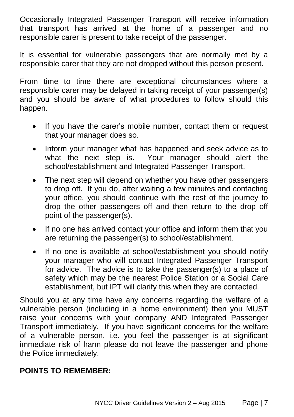Occasionally Integrated Passenger Transport will receive information that transport has arrived at the home of a passenger and no responsible carer is present to take receipt of the passenger.

It is essential for vulnerable passengers that are normally met by a responsible carer that they are not dropped without this person present.

From time to time there are exceptional circumstances where a responsible carer may be delayed in taking receipt of your passenger(s) and you should be aware of what procedures to follow should this happen.

- If you have the carer's mobile number, contact them or request that your manager does so.
- Inform your manager what has happened and seek advice as to what the next step is. Your manager should alert the school/establishment and Integrated Passenger Transport.
- The next step will depend on whether you have other passengers to drop off. If you do, after waiting a few minutes and contacting your office, you should continue with the rest of the journey to drop the other passengers off and then return to the drop off point of the passenger(s).
- If no one has arrived contact your office and inform them that you are returning the passenger(s) to school/establishment.
- If no one is available at school/establishment you should notify your manager who will contact Integrated Passenger Transport for advice. The advice is to take the passenger(s) to a place of safety which may be the nearest Police Station or a Social Care establishment, but IPT will clarify this when they are contacted.

Should you at any time have any concerns regarding the welfare of a vulnerable person (including in a home environment) then you MUST raise your concerns with your company AND Integrated Passenger Transport immediately. If you have significant concerns for the welfare of a vulnerable person, i.e. you feel the passenger is at significant immediate risk of harm please do not leave the passenger and phone the Police immediately.

### **POINTS TO REMEMBER:**